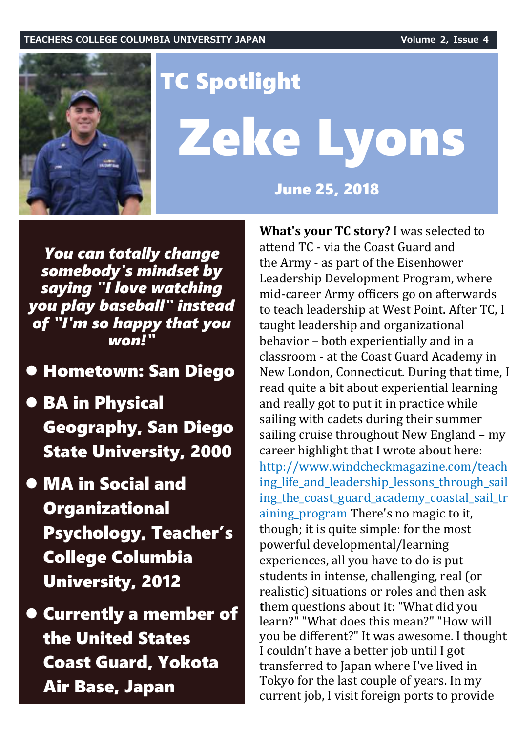

# TC Spotlight Zeke Lyons

June 25, 2018

*You can totally change somebody's mindset by saying "I love watching you play baseball" instead of "I'm so happy that you won!"*

## Hometown: San Diego

- **BA in Physical** Geography, San Diego State University, 2000
- MA in Social and **Organizational** Psychology, Teacher's College Columbia University, 2012
- Currently a member of the United States Coast Guard, Yokota Air Base, Japan

**What's your TC story?** I was selected to attend TC - via the Coast Guard and the Army - as part of the Eisenhower Leadership Development Program, where mid-career Army officers go on afterwards to teach leadership at West Point. After TC, I taught leadership and organizational behavior – both experientially and in a classroom - at the Coast Guard Academy in New London, Connecticut. During that time, I read quite a bit about experiential learning and really got to put it in practice while sailing with cadets during their summer sailing cruise throughout New England – my career highlight that I wrote about here: http://www.windcheckmagazine.com/teach ing life and leadership lessons through sail ing\_the\_coast\_guard\_academy\_coastal\_sail\_tr aining\_program There's no magic to it, though; it is quite simple: for the most powerful developmental/learning experiences, all you have to do is put students in intense, challenging, real (or realistic) situations or roles and then ask **t**hem questions about it: "What did you learn?" "What does this mean?" "How will you be different?" It was awesome. I thought I couldn't have a better job until I got transferred to Japan where I've lived in Tokyo for the last couple of years. In my current job, I visit foreign ports to provide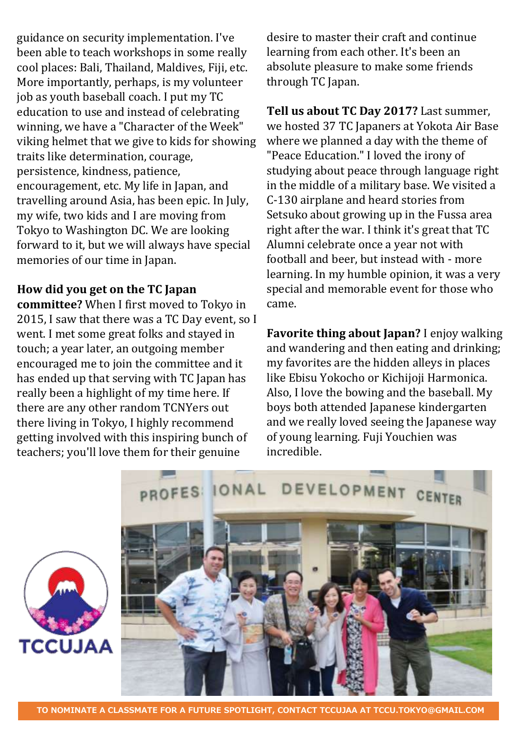guidance on security implementation. I've been able to teach workshops in some really cool places: Bali, Thailand, Maldives, Fiji, etc. More importantly, perhaps, is my volunteer job as youth baseball coach. I put my TC education to use and instead of celebrating winning, we have a "Character of the Week" viking helmet that we give to kids for showing traits like determination, courage, persistence, kindness, patience, encouragement, etc. My life in Japan, and travelling around Asia, has been epic. In July, my wife, two kids and I are moving from Tokyo to Washington DC. We are looking forward to it, but we will always have special memories of our time in Japan.

#### **How did you get on the TC Japan**

**committee?** When I first moved to Tokyo in 2015, I saw that there was a TC Day event, so I went. I met some great folks and stayed in touch; a year later, an outgoing member encouraged me to join the committee and it has ended up that serving with TC Japan has really been a highlight of my time here. If there are any other random TCNYers out there living in Tokyo, I highly recommend getting involved with this inspiring bunch of teachers; you'll love them for their genuine

desire to master their craft and continue learning from each other. It's been an absolute pleasure to make some friends through TC Japan.

**Tell us about TC Day 2017?** Last summer, we hosted 37 TC Japaners at Yokota Air Base where we planned a day with the theme of "Peace Education." I loved the irony of studying about peace through language right in the middle of a military base. We visited a C-130 airplane and heard stories from Setsuko about growing up in the Fussa area right after the war. I think it's great that TC Alumni celebrate once a year not with football and beer, but instead with - more learning. In my humble opinion, it was a very special and memorable event for those who came.

**Favorite thing about Japan?** I enjoy walking and wandering and then eating and drinking; my favorites are the hidden alleys in places like Ebisu Yokocho or Kichijoji Harmonica. Also, I love the bowing and the baseball. My boys both attended Japanese kindergarten and we really loved seeing the Japanese way of young learning. Fuji Youchien was incredible.